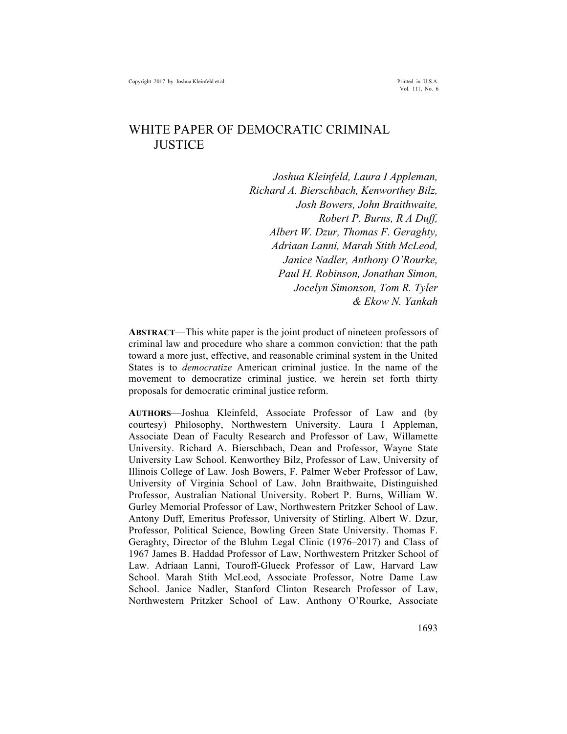Vol. 111, No. 6

# WHITE PAPER OF DEMOCRATIC CRIMINAL **JUSTICE**

*Joshua Kleinfeld, Laura I Appleman, Richard A. Bierschbach, Kenworthey Bilz, Josh Bowers, John Braithwaite, Robert P. Burns, R A Duff, Albert W. Dzur, Thomas F. Geraghty, Adriaan Lanni, Marah Stith McLeod, Janice Nadler, Anthony O'Rourke, Paul H. Robinson, Jonathan Simon, Jocelyn Simonson, Tom R. Tyler & Ekow N. Yankah*

**ABSTRACT**—This white paper is the joint product of nineteen professors of criminal law and procedure who share a common conviction: that the path toward a more just, effective, and reasonable criminal system in the United States is to *democratize* American criminal justice. In the name of the movement to democratize criminal justice, we herein set forth thirty proposals for democratic criminal justice reform.

**AUTHORS**—Joshua Kleinfeld, Associate Professor of Law and (by courtesy) Philosophy, Northwestern University. Laura I Appleman, Associate Dean of Faculty Research and Professor of Law, Willamette University. Richard A. Bierschbach, Dean and Professor, Wayne State University Law School. Kenworthey Bilz, Professor of Law, University of Illinois College of Law. Josh Bowers, F. Palmer Weber Professor of Law, University of Virginia School of Law. John Braithwaite, Distinguished Professor, Australian National University. Robert P. Burns, William W. Gurley Memorial Professor of Law, Northwestern Pritzker School of Law. Antony Duff, Emeritus Professor, University of Stirling. Albert W. Dzur, Professor, Political Science, Bowling Green State University. Thomas F. Geraghty, Director of the Bluhm Legal Clinic (1976–2017) and Class of 1967 James B. Haddad Professor of Law, Northwestern Pritzker School of Law. Adriaan Lanni, Touroff-Glueck Professor of Law, Harvard Law School. Marah Stith McLeod, Associate Professor, Notre Dame Law School. Janice Nadler, Stanford Clinton Research Professor of Law, Northwestern Pritzker School of Law. Anthony O'Rourke, Associate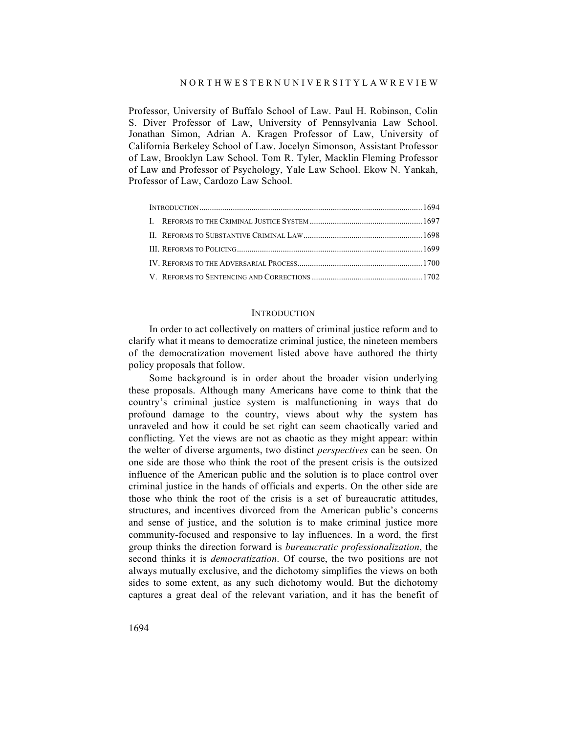#### N O R T H W E S T E R N U N I V E R S I T Y L A W R E V I E W

Professor, University of Buffalo School of Law. Paul H. Robinson, Colin S. Diver Professor of Law, University of Pennsylvania Law School. Jonathan Simon, Adrian A. Kragen Professor of Law, University of California Berkeley School of Law. Jocelyn Simonson, Assistant Professor of Law, Brooklyn Law School. Tom R. Tyler, Macklin Fleming Professor of Law and Professor of Psychology, Yale Law School. Ekow N. Yankah, Professor of Law, Cardozo Law School.

#### INTRODUCTION

In order to act collectively on matters of criminal justice reform and to clarify what it means to democratize criminal justice, the nineteen members of the democratization movement listed above have authored the thirty policy proposals that follow.

Some background is in order about the broader vision underlying these proposals. Although many Americans have come to think that the country's criminal justice system is malfunctioning in ways that do profound damage to the country, views about why the system has unraveled and how it could be set right can seem chaotically varied and conflicting. Yet the views are not as chaotic as they might appear: within the welter of diverse arguments, two distinct *perspectives* can be seen. On one side are those who think the root of the present crisis is the outsized influence of the American public and the solution is to place control over criminal justice in the hands of officials and experts. On the other side are those who think the root of the crisis is a set of bureaucratic attitudes, structures, and incentives divorced from the American public's concerns and sense of justice, and the solution is to make criminal justice more community-focused and responsive to lay influences. In a word, the first group thinks the direction forward is *bureaucratic professionalization*, the second thinks it is *democratization*. Of course, the two positions are not always mutually exclusive, and the dichotomy simplifies the views on both sides to some extent, as any such dichotomy would. But the dichotomy captures a great deal of the relevant variation, and it has the benefit of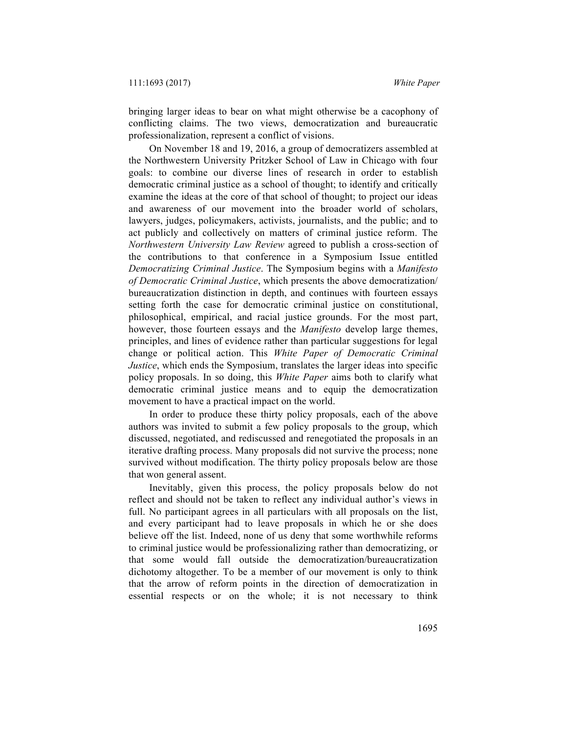bringing larger ideas to bear on what might otherwise be a cacophony of conflicting claims. The two views, democratization and bureaucratic professionalization, represent a conflict of visions.

On November 18 and 19, 2016, a group of democratizers assembled at the Northwestern University Pritzker School of Law in Chicago with four goals: to combine our diverse lines of research in order to establish democratic criminal justice as a school of thought; to identify and critically examine the ideas at the core of that school of thought; to project our ideas and awareness of our movement into the broader world of scholars, lawyers, judges, policymakers, activists, journalists, and the public; and to act publicly and collectively on matters of criminal justice reform. The *Northwestern University Law Review* agreed to publish a cross-section of the contributions to that conference in a Symposium Issue entitled *Democratizing Criminal Justice*. The Symposium begins with a *Manifesto of Democratic Criminal Justice*, which presents the above democratization/ bureaucratization distinction in depth, and continues with fourteen essays setting forth the case for democratic criminal justice on constitutional, philosophical, empirical, and racial justice grounds. For the most part, however, those fourteen essays and the *Manifesto* develop large themes, principles, and lines of evidence rather than particular suggestions for legal change or political action. This *White Paper of Democratic Criminal Justice*, which ends the Symposium, translates the larger ideas into specific policy proposals. In so doing, this *White Paper* aims both to clarify what democratic criminal justice means and to equip the democratization movement to have a practical impact on the world.

In order to produce these thirty policy proposals, each of the above authors was invited to submit a few policy proposals to the group, which discussed, negotiated, and rediscussed and renegotiated the proposals in an iterative drafting process. Many proposals did not survive the process; none survived without modification. The thirty policy proposals below are those that won general assent.

Inevitably, given this process, the policy proposals below do not reflect and should not be taken to reflect any individual author's views in full. No participant agrees in all particulars with all proposals on the list, and every participant had to leave proposals in which he or she does believe off the list. Indeed, none of us deny that some worthwhile reforms to criminal justice would be professionalizing rather than democratizing, or that some would fall outside the democratization/bureaucratization dichotomy altogether. To be a member of our movement is only to think that the arrow of reform points in the direction of democratization in essential respects or on the whole; it is not necessary to think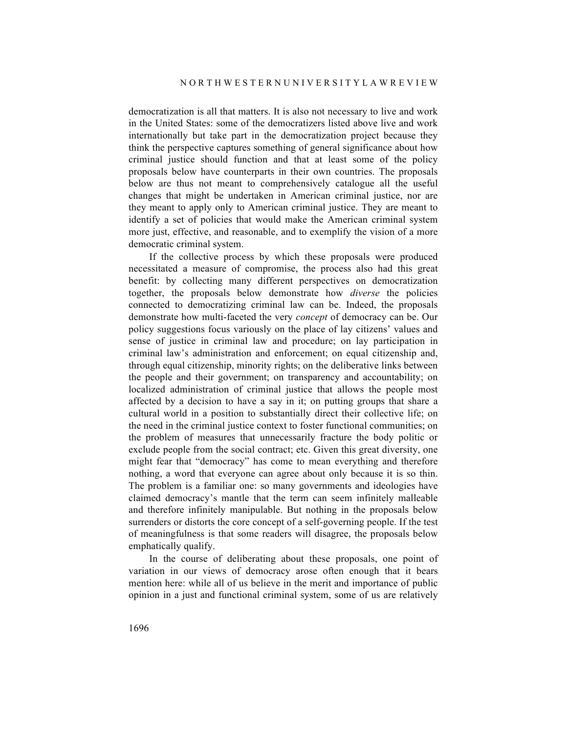democratization is all that matters. It is also not necessary to live and work in the United States: some of the democratizers listed above live and work internationally but take part in the democratization project because they think the perspective captures something of general significance about how criminal justice should function and that at least some of the policy proposals below have counterparts in their own countries. The proposals below are thus not meant to comprehensively catalogue all the useful changes that might be undertaken in American criminal justice, nor are they meant to apply only to American criminal justice. They are meant to identify a set of policies that would make the American criminal system more just, effective, and reasonable, and to exemplify the vision of a more democratic criminal system.

If the collective process by which these proposals were produced necessitated a measure of compromise, the process also had this great benefit: by collecting many different perspectives on democratization together, the proposals below demonstrate how *diverse* the policies connected to democratizing criminal law can be. Indeed, the proposals demonstrate how multi-faceted the very *concept* of democracy can be. Our policy suggestions focus variously on the place of lay citizens' values and sense of justice in criminal law and procedure; on lay participation in criminal law's administration and enforcement; on equal citizenship and, through equal citizenship, minority rights; on the deliberative links between the people and their government; on transparency and accountability; on localized administration of criminal justice that allows the people most affected by a decision to have a say in it; on putting groups that share a cultural world in a position to substantially direct their collective life; on the need in the criminal justice context to foster functional communities; on the problem of measures that unnecessarily fracture the body politic or exclude people from the social contract; etc. Given this great diversity, one might fear that "democracy" has come to mean everything and therefore nothing, a word that everyone can agree about only because it is so thin. The problem is a familiar one: so many governments and ideologies have claimed democracy's mantle that the term can seem infinitely malleable and therefore infinitely manipulable. But nothing in the proposals below surrenders or distorts the core concept of a self-governing people. If the test of meaningfulness is that some readers will disagree, the proposals below emphatically qualify.

In the course of deliberating about these proposals, one point of variation in our views of democracy arose often enough that it bears mention here: while all of us believe in the merit and importance of public opinion in a just and functional criminal system, some of us are relatively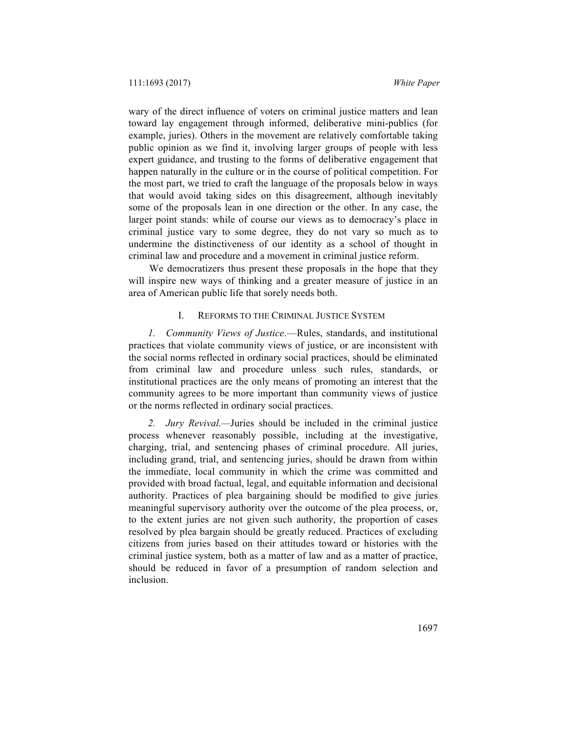wary of the direct influence of voters on criminal justice matters and lean toward lay engagement through informed, deliberative mini-publics (for example, juries). Others in the movement are relatively comfortable taking public opinion as we find it, involving larger groups of people with less expert guidance, and trusting to the forms of deliberative engagement that happen naturally in the culture or in the course of political competition. For the most part, we tried to craft the language of the proposals below in ways that would avoid taking sides on this disagreement, although inevitably some of the proposals lean in one direction or the other. In any case, the larger point stands: while of course our views as to democracy's place in criminal justice vary to some degree, they do not vary so much as to undermine the distinctiveness of our identity as a school of thought in criminal law and procedure and a movement in criminal justice reform.

We democratizers thus present these proposals in the hope that they will inspire new ways of thinking and a greater measure of justice in an area of American public life that sorely needs both.

# I. REFORMS TO THE CRIMINAL JUSTICE SYSTEM

*1. Community Views of Justice*.—Rules, standards, and institutional practices that violate community views of justice, or are inconsistent with the social norms reflected in ordinary social practices, should be eliminated from criminal law and procedure unless such rules, standards, or institutional practices are the only means of promoting an interest that the community agrees to be more important than community views of justice or the norms reflected in ordinary social practices.

*2. Jury Revival.—*Juries should be included in the criminal justice process whenever reasonably possible, including at the investigative, charging, trial, and sentencing phases of criminal procedure. All juries, including grand, trial, and sentencing juries, should be drawn from within the immediate, local community in which the crime was committed and provided with broad factual, legal, and equitable information and decisional authority. Practices of plea bargaining should be modified to give juries meaningful supervisory authority over the outcome of the plea process, or, to the extent juries are not given such authority, the proportion of cases resolved by plea bargain should be greatly reduced. Practices of excluding citizens from juries based on their attitudes toward or histories with the criminal justice system, both as a matter of law and as a matter of practice, should be reduced in favor of a presumption of random selection and inclusion.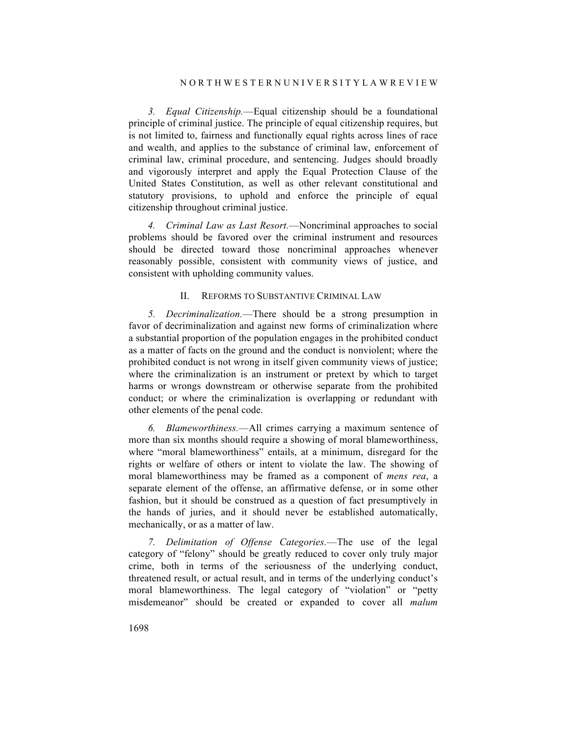*3. Equal Citizenship.*—Equal citizenship should be a foundational principle of criminal justice. The principle of equal citizenship requires, but is not limited to, fairness and functionally equal rights across lines of race and wealth, and applies to the substance of criminal law, enforcement of criminal law, criminal procedure, and sentencing. Judges should broadly and vigorously interpret and apply the Equal Protection Clause of the United States Constitution, as well as other relevant constitutional and statutory provisions, to uphold and enforce the principle of equal citizenship throughout criminal justice.

*4. Criminal Law as Last Resort.*—Noncriminal approaches to social problems should be favored over the criminal instrument and resources should be directed toward those noncriminal approaches whenever reasonably possible, consistent with community views of justice, and consistent with upholding community values.

### II. REFORMS TO SUBSTANTIVE CRIMINAL LAW

*5. Decriminalization.*—There should be a strong presumption in favor of decriminalization and against new forms of criminalization where a substantial proportion of the population engages in the prohibited conduct as a matter of facts on the ground and the conduct is nonviolent; where the prohibited conduct is not wrong in itself given community views of justice; where the criminalization is an instrument or pretext by which to target harms or wrongs downstream or otherwise separate from the prohibited conduct; or where the criminalization is overlapping or redundant with other elements of the penal code.

*6. Blameworthiness.*—All crimes carrying a maximum sentence of more than six months should require a showing of moral blameworthiness, where "moral blameworthiness" entails, at a minimum, disregard for the rights or welfare of others or intent to violate the law. The showing of moral blameworthiness may be framed as a component of *mens rea*, a separate element of the offense, an affirmative defense, or in some other fashion, but it should be construed as a question of fact presumptively in the hands of juries, and it should never be established automatically, mechanically, or as a matter of law.

*7. Delimitation of Offense Categories.*—The use of the legal category of "felony" should be greatly reduced to cover only truly major crime, both in terms of the seriousness of the underlying conduct, threatened result, or actual result, and in terms of the underlying conduct's moral blameworthiness. The legal category of "violation" or "petty misdemeanor" should be created or expanded to cover all *malum*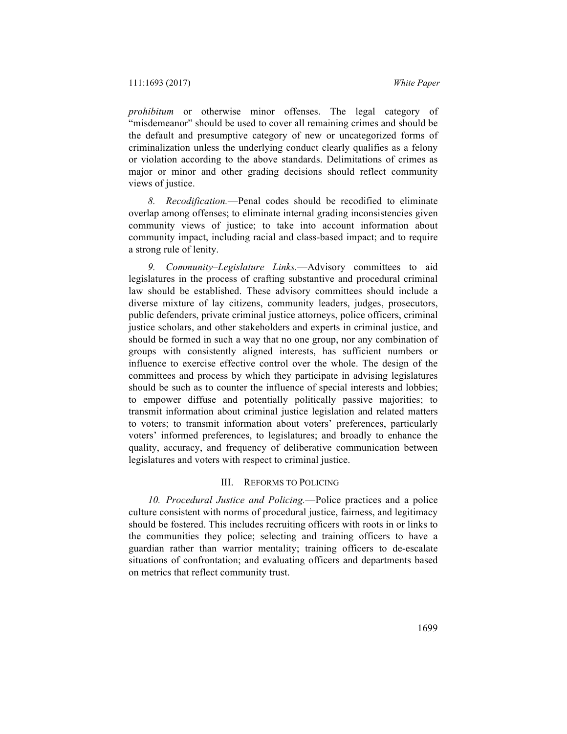*prohibitum* or otherwise minor offenses. The legal category of "misdemeanor" should be used to cover all remaining crimes and should be the default and presumptive category of new or uncategorized forms of criminalization unless the underlying conduct clearly qualifies as a felony or violation according to the above standards. Delimitations of crimes as major or minor and other grading decisions should reflect community views of justice.

*8. Recodification.*—Penal codes should be recodified to eliminate overlap among offenses; to eliminate internal grading inconsistencies given community views of justice; to take into account information about community impact, including racial and class-based impact; and to require a strong rule of lenity.

*9. Community–Legislature Links.*—Advisory committees to aid legislatures in the process of crafting substantive and procedural criminal law should be established. These advisory committees should include a diverse mixture of lay citizens, community leaders, judges, prosecutors, public defenders, private criminal justice attorneys, police officers, criminal justice scholars, and other stakeholders and experts in criminal justice, and should be formed in such a way that no one group, nor any combination of groups with consistently aligned interests, has sufficient numbers or influence to exercise effective control over the whole. The design of the committees and process by which they participate in advising legislatures should be such as to counter the influence of special interests and lobbies; to empower diffuse and potentially politically passive majorities; to transmit information about criminal justice legislation and related matters to voters; to transmit information about voters' preferences, particularly voters' informed preferences, to legislatures; and broadly to enhance the quality, accuracy, and frequency of deliberative communication between legislatures and voters with respect to criminal justice.

## III. REFORMS TO POLICING

*10. Procedural Justice and Policing.*—Police practices and a police culture consistent with norms of procedural justice, fairness, and legitimacy should be fostered. This includes recruiting officers with roots in or links to the communities they police; selecting and training officers to have a guardian rather than warrior mentality; training officers to de-escalate situations of confrontation; and evaluating officers and departments based on metrics that reflect community trust.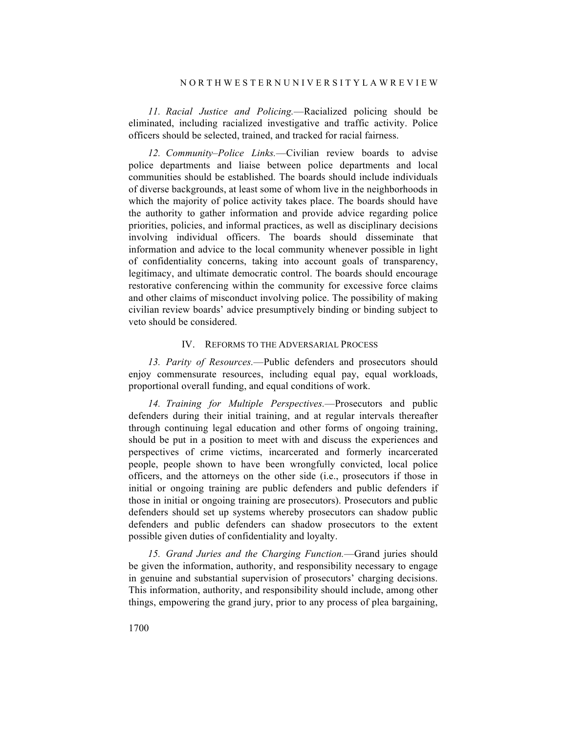#### N O R T H W E S T E R N U N I V E R S I T Y L A W R E V I E W

*11. Racial Justice and Policing.*—Racialized policing should be eliminated, including racialized investigative and traffic activity. Police officers should be selected, trained, and tracked for racial fairness.

*12. Community–Police Links.*—Civilian review boards to advise police departments and liaise between police departments and local communities should be established. The boards should include individuals of diverse backgrounds, at least some of whom live in the neighborhoods in which the majority of police activity takes place. The boards should have the authority to gather information and provide advice regarding police priorities, policies, and informal practices, as well as disciplinary decisions involving individual officers. The boards should disseminate that information and advice to the local community whenever possible in light of confidentiality concerns, taking into account goals of transparency, legitimacy, and ultimate democratic control. The boards should encourage restorative conferencing within the community for excessive force claims and other claims of misconduct involving police. The possibility of making civilian review boards' advice presumptively binding or binding subject to veto should be considered.

## IV. REFORMS TO THE ADVERSARIAL PROCESS

*13. Parity of Resources.*—Public defenders and prosecutors should enjoy commensurate resources, including equal pay, equal workloads, proportional overall funding, and equal conditions of work.

*14. Training for Multiple Perspectives.*—Prosecutors and public defenders during their initial training, and at regular intervals thereafter through continuing legal education and other forms of ongoing training, should be put in a position to meet with and discuss the experiences and perspectives of crime victims, incarcerated and formerly incarcerated people, people shown to have been wrongfully convicted, local police officers, and the attorneys on the other side (i.e., prosecutors if those in initial or ongoing training are public defenders and public defenders if those in initial or ongoing training are prosecutors). Prosecutors and public defenders should set up systems whereby prosecutors can shadow public defenders and public defenders can shadow prosecutors to the extent possible given duties of confidentiality and loyalty.

*15. Grand Juries and the Charging Function.*—Grand juries should be given the information, authority, and responsibility necessary to engage in genuine and substantial supervision of prosecutors' charging decisions. This information, authority, and responsibility should include, among other things, empowering the grand jury, prior to any process of plea bargaining,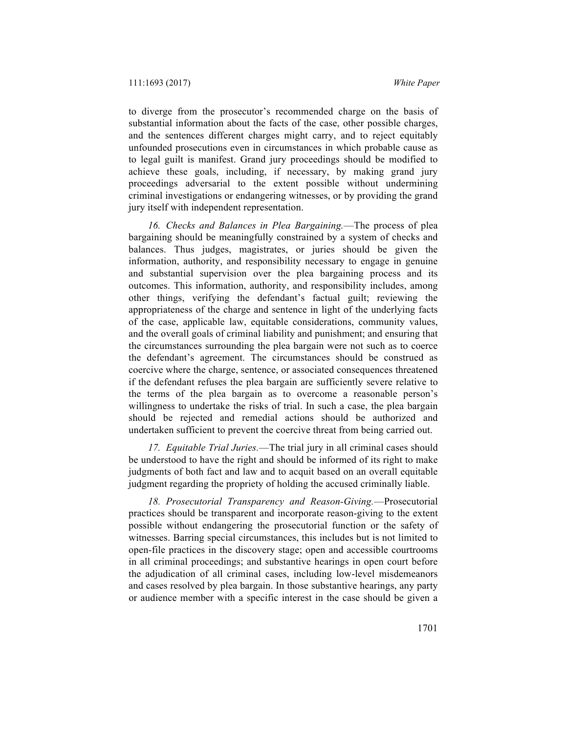to diverge from the prosecutor's recommended charge on the basis of substantial information about the facts of the case, other possible charges, and the sentences different charges might carry, and to reject equitably unfounded prosecutions even in circumstances in which probable cause as to legal guilt is manifest. Grand jury proceedings should be modified to achieve these goals, including, if necessary, by making grand jury proceedings adversarial to the extent possible without undermining criminal investigations or endangering witnesses, or by providing the grand jury itself with independent representation.

*16. Checks and Balances in Plea Bargaining.*—The process of plea bargaining should be meaningfully constrained by a system of checks and balances. Thus judges, magistrates, or juries should be given the information, authority, and responsibility necessary to engage in genuine and substantial supervision over the plea bargaining process and its outcomes. This information, authority, and responsibility includes, among other things, verifying the defendant's factual guilt; reviewing the appropriateness of the charge and sentence in light of the underlying facts of the case, applicable law, equitable considerations, community values, and the overall goals of criminal liability and punishment; and ensuring that the circumstances surrounding the plea bargain were not such as to coerce the defendant's agreement. The circumstances should be construed as coercive where the charge, sentence, or associated consequences threatened if the defendant refuses the plea bargain are sufficiently severe relative to the terms of the plea bargain as to overcome a reasonable person's willingness to undertake the risks of trial. In such a case, the plea bargain should be rejected and remedial actions should be authorized and undertaken sufficient to prevent the coercive threat from being carried out.

*17. Equitable Trial Juries.*—The trial jury in all criminal cases should be understood to have the right and should be informed of its right to make judgments of both fact and law and to acquit based on an overall equitable judgment regarding the propriety of holding the accused criminally liable.

*18. Prosecutorial Transparency and Reason-Giving.*—Prosecutorial practices should be transparent and incorporate reason-giving to the extent possible without endangering the prosecutorial function or the safety of witnesses. Barring special circumstances, this includes but is not limited to open-file practices in the discovery stage; open and accessible courtrooms in all criminal proceedings; and substantive hearings in open court before the adjudication of all criminal cases, including low-level misdemeanors and cases resolved by plea bargain. In those substantive hearings, any party or audience member with a specific interest in the case should be given a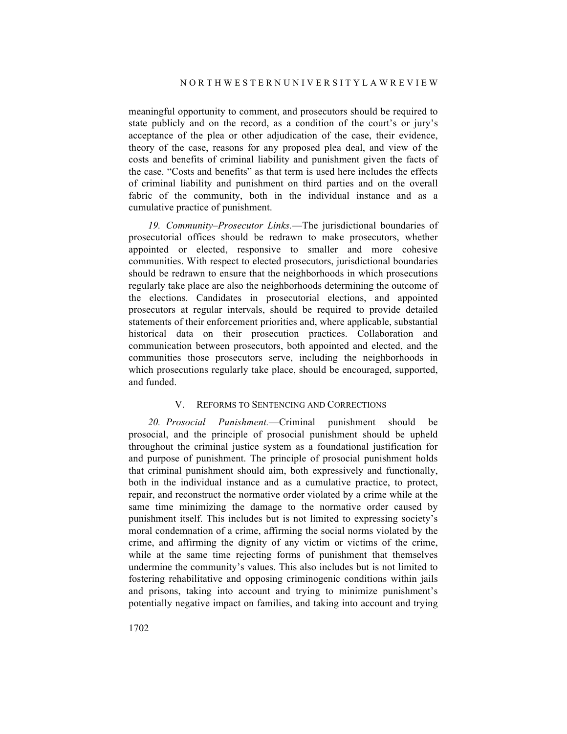meaningful opportunity to comment, and prosecutors should be required to state publicly and on the record, as a condition of the court's or jury's acceptance of the plea or other adjudication of the case, their evidence, theory of the case, reasons for any proposed plea deal, and view of the costs and benefits of criminal liability and punishment given the facts of the case. "Costs and benefits" as that term is used here includes the effects of criminal liability and punishment on third parties and on the overall fabric of the community, both in the individual instance and as a cumulative practice of punishment.

*19. Community–Prosecutor Links.*—The jurisdictional boundaries of prosecutorial offices should be redrawn to make prosecutors, whether appointed or elected, responsive to smaller and more cohesive communities. With respect to elected prosecutors, jurisdictional boundaries should be redrawn to ensure that the neighborhoods in which prosecutions regularly take place are also the neighborhoods determining the outcome of the elections. Candidates in prosecutorial elections, and appointed prosecutors at regular intervals, should be required to provide detailed statements of their enforcement priorities and, where applicable, substantial historical data on their prosecution practices. Collaboration and communication between prosecutors, both appointed and elected, and the communities those prosecutors serve, including the neighborhoods in which prosecutions regularly take place, should be encouraged, supported, and funded.

## V. REFORMS TO SENTENCING AND CORRECTIONS

*20. Prosocial Punishment.*—Criminal punishment should be prosocial, and the principle of prosocial punishment should be upheld throughout the criminal justice system as a foundational justification for and purpose of punishment. The principle of prosocial punishment holds that criminal punishment should aim, both expressively and functionally, both in the individual instance and as a cumulative practice, to protect, repair, and reconstruct the normative order violated by a crime while at the same time minimizing the damage to the normative order caused by punishment itself. This includes but is not limited to expressing society's moral condemnation of a crime, affirming the social norms violated by the crime, and affirming the dignity of any victim or victims of the crime, while at the same time rejecting forms of punishment that themselves undermine the community's values. This also includes but is not limited to fostering rehabilitative and opposing criminogenic conditions within jails and prisons, taking into account and trying to minimize punishment's potentially negative impact on families, and taking into account and trying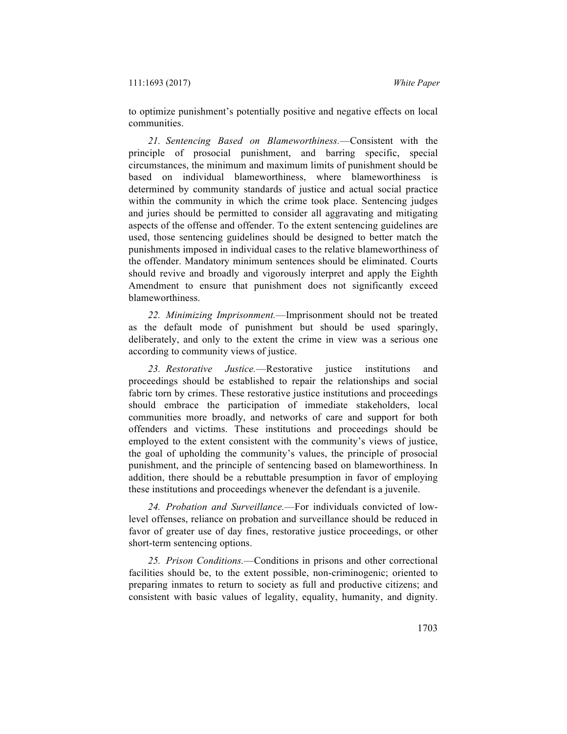to optimize punishment's potentially positive and negative effects on local communities.

*21. Sentencing Based on Blameworthiness.*—Consistent with the principle of prosocial punishment, and barring specific, special circumstances, the minimum and maximum limits of punishment should be based on individual blameworthiness, where blameworthiness is determined by community standards of justice and actual social practice within the community in which the crime took place. Sentencing judges and juries should be permitted to consider all aggravating and mitigating aspects of the offense and offender. To the extent sentencing guidelines are used, those sentencing guidelines should be designed to better match the punishments imposed in individual cases to the relative blameworthiness of the offender. Mandatory minimum sentences should be eliminated. Courts should revive and broadly and vigorously interpret and apply the Eighth Amendment to ensure that punishment does not significantly exceed blameworthiness.

*22. Minimizing Imprisonment.*—Imprisonment should not be treated as the default mode of punishment but should be used sparingly, deliberately, and only to the extent the crime in view was a serious one according to community views of justice.

*23. Restorative Justice.*—Restorative justice institutions and proceedings should be established to repair the relationships and social fabric torn by crimes. These restorative justice institutions and proceedings should embrace the participation of immediate stakeholders, local communities more broadly, and networks of care and support for both offenders and victims. These institutions and proceedings should be employed to the extent consistent with the community's views of justice, the goal of upholding the community's values, the principle of prosocial punishment, and the principle of sentencing based on blameworthiness. In addition, there should be a rebuttable presumption in favor of employing these institutions and proceedings whenever the defendant is a juvenile.

*24. Probation and Surveillance.*—For individuals convicted of lowlevel offenses, reliance on probation and surveillance should be reduced in favor of greater use of day fines, restorative justice proceedings, or other short-term sentencing options.

*25. Prison Conditions.*—Conditions in prisons and other correctional facilities should be, to the extent possible, non-criminogenic; oriented to preparing inmates to return to society as full and productive citizens; and consistent with basic values of legality, equality, humanity, and dignity.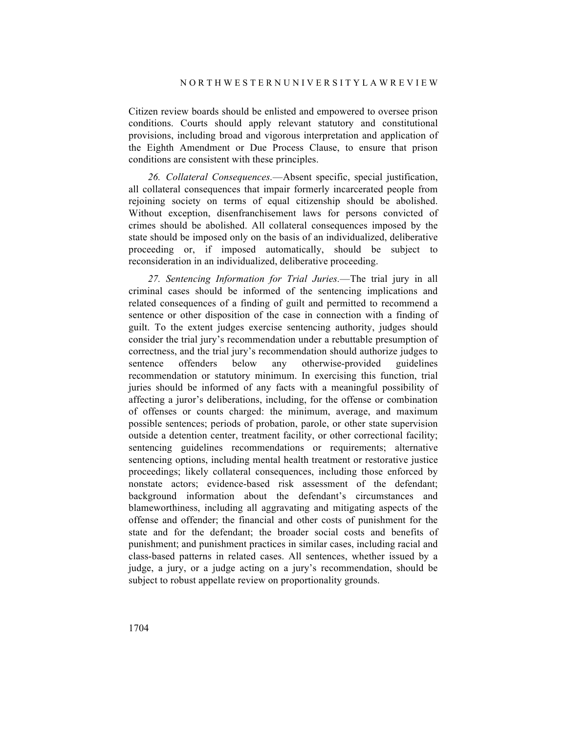Citizen review boards should be enlisted and empowered to oversee prison conditions. Courts should apply relevant statutory and constitutional provisions, including broad and vigorous interpretation and application of the Eighth Amendment or Due Process Clause, to ensure that prison conditions are consistent with these principles.

*26. Collateral Consequences.*—Absent specific, special justification, all collateral consequences that impair formerly incarcerated people from rejoining society on terms of equal citizenship should be abolished. Without exception, disenfranchisement laws for persons convicted of crimes should be abolished. All collateral consequences imposed by the state should be imposed only on the basis of an individualized, deliberative proceeding or, if imposed automatically, should be subject to reconsideration in an individualized, deliberative proceeding.

*27. Sentencing Information for Trial Juries.*—The trial jury in all criminal cases should be informed of the sentencing implications and related consequences of a finding of guilt and permitted to recommend a sentence or other disposition of the case in connection with a finding of guilt. To the extent judges exercise sentencing authority, judges should consider the trial jury's recommendation under a rebuttable presumption of correctness, and the trial jury's recommendation should authorize judges to sentence offenders below any otherwise-provided guidelines recommendation or statutory minimum. In exercising this function, trial juries should be informed of any facts with a meaningful possibility of affecting a juror's deliberations, including, for the offense or combination of offenses or counts charged: the minimum, average, and maximum possible sentences; periods of probation, parole, or other state supervision outside a detention center, treatment facility, or other correctional facility; sentencing guidelines recommendations or requirements; alternative sentencing options, including mental health treatment or restorative justice proceedings; likely collateral consequences, including those enforced by nonstate actors; evidence-based risk assessment of the defendant; background information about the defendant's circumstances and blameworthiness, including all aggravating and mitigating aspects of the offense and offender; the financial and other costs of punishment for the state and for the defendant; the broader social costs and benefits of punishment; and punishment practices in similar cases, including racial and class-based patterns in related cases. All sentences, whether issued by a judge, a jury, or a judge acting on a jury's recommendation, should be subject to robust appellate review on proportionality grounds.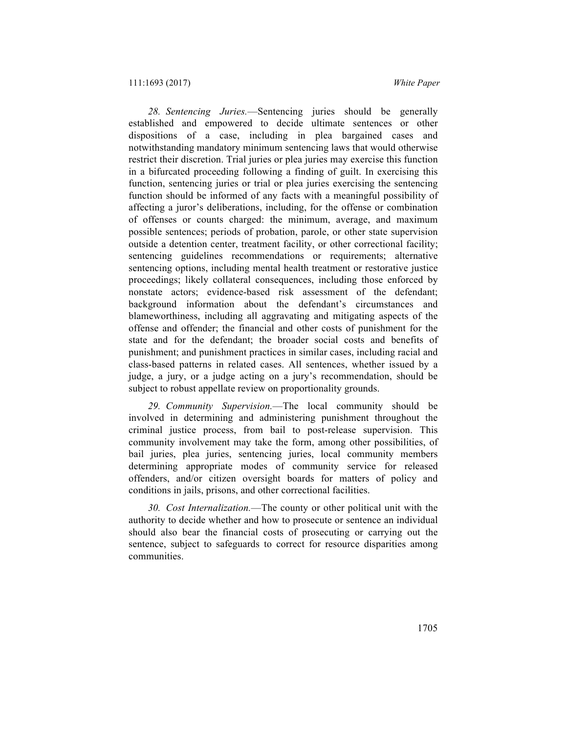*28. Sentencing Juries.*—Sentencing juries should be generally established and empowered to decide ultimate sentences or other dispositions of a case, including in plea bargained cases and notwithstanding mandatory minimum sentencing laws that would otherwise restrict their discretion. Trial juries or plea juries may exercise this function in a bifurcated proceeding following a finding of guilt. In exercising this function, sentencing juries or trial or plea juries exercising the sentencing function should be informed of any facts with a meaningful possibility of affecting a juror's deliberations, including, for the offense or combination of offenses or counts charged: the minimum, average, and maximum possible sentences; periods of probation, parole, or other state supervision outside a detention center, treatment facility, or other correctional facility; sentencing guidelines recommendations or requirements; alternative sentencing options, including mental health treatment or restorative justice proceedings; likely collateral consequences, including those enforced by nonstate actors; evidence-based risk assessment of the defendant; background information about the defendant's circumstances and blameworthiness, including all aggravating and mitigating aspects of the offense and offender; the financial and other costs of punishment for the state and for the defendant; the broader social costs and benefits of punishment; and punishment practices in similar cases, including racial and class-based patterns in related cases. All sentences, whether issued by a judge, a jury, or a judge acting on a jury's recommendation, should be subject to robust appellate review on proportionality grounds.

*29. Community Supervision.*—The local community should be involved in determining and administering punishment throughout the criminal justice process, from bail to post-release supervision. This community involvement may take the form, among other possibilities, of bail juries, plea juries, sentencing juries, local community members determining appropriate modes of community service for released offenders, and/or citizen oversight boards for matters of policy and conditions in jails, prisons, and other correctional facilities.

*30. Cost Internalization.*—The county or other political unit with the authority to decide whether and how to prosecute or sentence an individual should also bear the financial costs of prosecuting or carrying out the sentence, subject to safeguards to correct for resource disparities among communities.